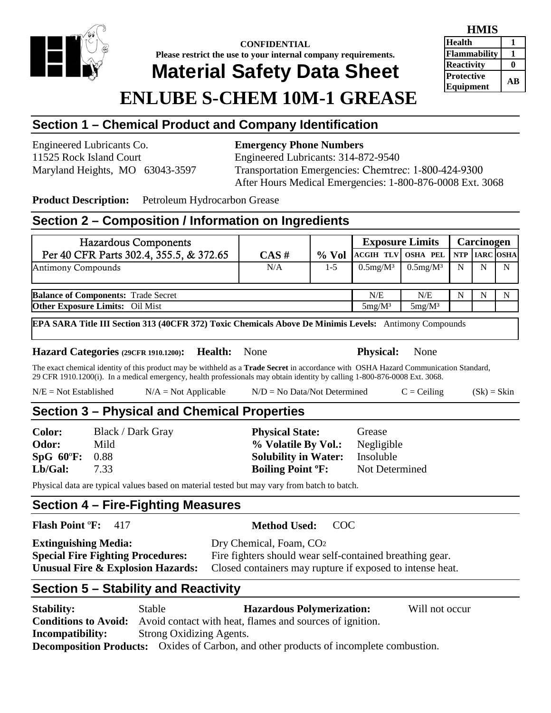

#### **CONFIDENTIAL Please restrict the use to your internal company requirements. Material Safety Data Sheet**

#### **HMIS Health 1 Flammability 1 Reactivity** 0 **Protective Equipment AB**

# **ENLUBE S-CHEM 10M-1 GREASE**

# **Section 1 – Chemical Product and Company Identification**

Engineered Lubricants Co. **Emergency Phone Numbers** 11525 Rock Island Court Engineered Lubricants: 314-872-9540

Maryland Heights, MO 63043-3597 Transportation Emergencies: Chemtrec: 1-800-424-9300 After Hours Medical Emergencies: 1-800-876-0008 Ext. 3068

**Product Description:** Petroleum Hydrocarbon Grease

#### **Section 2 – Composition / Information on Ingredients**

| <b>Hazardous Components</b>                |      |         | <b>Exposure Limits</b>          |                |   | Carcinogen |   |
|--------------------------------------------|------|---------|---------------------------------|----------------|---|------------|---|
| Per 40 CFR Parts 302.4, 355.5, & 372.65    | CAS# | $%$ Vol | ACGIH TLV OSHA PEL NTP ARC OSHA |                |   |            |   |
| <b>Antimony Compounds</b>                  | N/A  | $1-5$   | $0.5$ mg/M $3$                  | $0.5$ mg/M $3$ | N | N          | N |
| <b>Balance of Components: Trade Secret</b> |      |         | N/E                             | N/E            | N |            | N |
| <b>Other Exposure Limits:</b> Oil Mist     |      |         | $5mg/M^3$                       | $5mg/M^3$      |   |            |   |

**EPA SARA Title III Section 313 (40CFR 372) Toxic Chemicals Above De Minimis Levels:** Antimony Compounds

#### **Hazard Categories (29CFR 1910.1200): Health:** None **Physical:** None

The exact chemical identity of this product may be withheld as a **Trade Secret** in accordance with OSHA Hazard Communication Standard, 29 CFR 1910.1200(i). In a medical emergency, health professionals may obtain identity by calling 1-800-876-0008 Ext. 3068.

| $N/E = Not Established$ | $N/A = Not Applicable$ | $N/D = No Data/Not Determine$ | $C = Ceiling$ | $(Sk) = Skin$ |
|-------------------------|------------------------|-------------------------------|---------------|---------------|
|-------------------------|------------------------|-------------------------------|---------------|---------------|

#### **Section 3 – Physical and Chemical Properties**

**Color:** Black / Dark Gray **Physical State:** Grease **Odor:** Mild **% Volatile By Vol.:** Negligible **SpG 60**º**F:** 0.88 **Solubility in Water:** Insoluble **Lb/Gal:** 7.33 **Boiling Point ºF:** Not Determined

Physical data are typical values based on material tested but may vary from batch to batch.

#### **Section 4 – Fire-Fighting Measures**

**Flash Point** º**F:** 417 **Method Used:** COC

| <b>Extinguishing Media:</b>              | Dry Chemical, Foam, CO <sub>2</sub>                       |
|------------------------------------------|-----------------------------------------------------------|
| <b>Special Fire Fighting Procedures:</b> | Fire fighters should wear self-contained breathing gear.  |
| Unusual Fire & Explosion Hazards:        | Closed containers may rupture if exposed to intense heat. |

# **Section 5 – Stability and Reactivity**

| <b>Stability:</b>       | Stable                   | <b>Hazardous Polymerization:</b>                                                              | Will not occur |
|-------------------------|--------------------------|-----------------------------------------------------------------------------------------------|----------------|
|                         |                          | <b>Conditions to Avoid:</b> Avoid contact with heat, flames and sources of ignition.          |                |
| <b>Incompatibility:</b> | Strong Oxidizing Agents. |                                                                                               |                |
|                         |                          | <b>Decomposition Products:</b> Oxides of Carbon, and other products of incomplete combustion. |                |